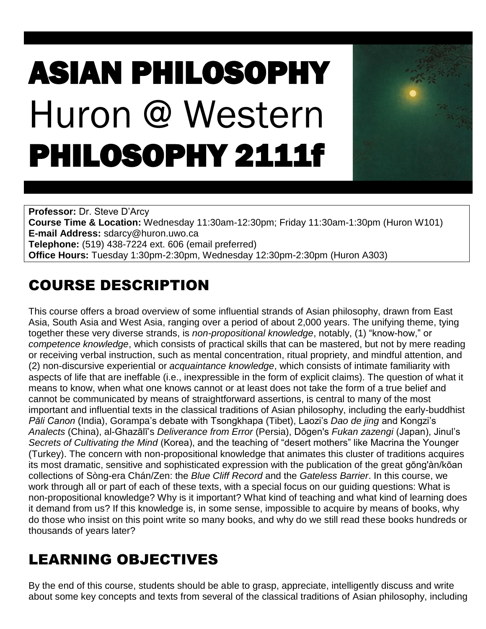# ASIAN PHILOSOPHY Huron @ Western PHILOSOPHY 2111f



**Professor:** Dr. Steve D'Arcy **Course Time & Location:** Wednesday 11:30am-12:30pm; Friday 11:30am-1:30pm (Huron W101) **E-mail Address:** sdarcy@huron.uwo.ca **Telephone:** (519) 438-7224 ext. 606 (email preferred) **Office Hours:** Tuesday 1:30pm-2:30pm, Wednesday 12:30pm-2:30pm (Huron A303)

# COURSE DESCRIPTION

This course offers a broad overview of some influential strands of Asian philosophy, drawn from East Asia, South Asia and West Asia, ranging over a period of about 2,000 years. The unifying theme, tying together these very diverse strands, is *non-propositional knowledge*, notably, (1) "know-how," or *competence knowledge*, which consists of practical skills that can be mastered, but not by mere reading or receiving verbal instruction, such as mental concentration, ritual propriety, and mindful attention, and (2) non-discursive experiential or *acquaintance knowledge*, which consists of intimate familiarity with aspects of life that are ineffable (i.e., inexpressible in the form of explicit claims). The question of what it means to know, when what one knows cannot or at least does not take the form of a true belief and cannot be communicated by means of straightforward assertions, is central to many of the most important and influential texts in the classical traditions of Asian philosophy, including the early-buddhist *Pāli Canon* (India), Gorampa's debate with Tsongkhapa (Tibet), Laozi's *Dao de jing* and Kongzi's *Analects* (China), al-Ghazālī's *Deliverance from Error* (Persia), Dōgen's *Fukan zazengi* (Japan), Jinul's *Secrets of Cultivating the Mind* (Korea), and the teaching of "desert mothers" like Macrina the Younger (Turkey). The concern with non-propositional knowledge that animates this cluster of traditions acquires its most dramatic, sensitive and sophisticated expression with the publication of the great gōng'àn/kōan collections of Sòng-era Chán/Zen: the *Blue Cliff Record* and the *Gateless Barrier*. In this course, we work through all or part of each of these texts, with a special focus on our guiding questions: What is non-propositional knowledge? Why is it important? What kind of teaching and what kind of learning does it demand from us? If this knowledge is, in some sense, impossible to acquire by means of books, why do those who insist on this point write so many books, and why do we still read these books hundreds or thousands of years later?

# LEARNING OBJECTIVES

By the end of this course, students should be able to grasp, appreciate, intelligently discuss and write about some key concepts and texts from several of the classical traditions of Asian philosophy, including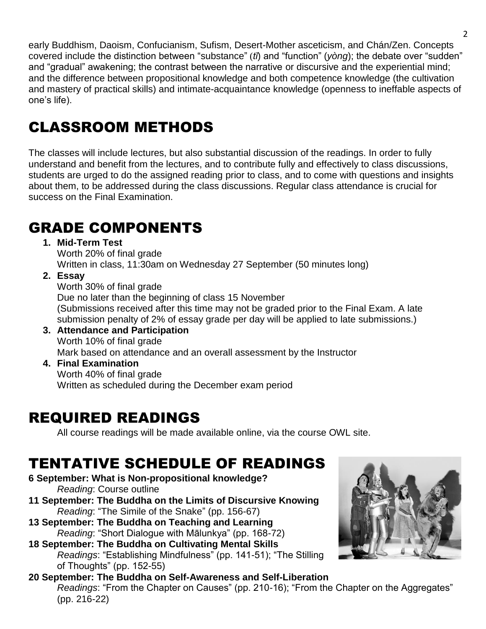early Buddhism, Daoism, Confucianism, Sufism, Desert-Mother asceticism, and Chán/Zen. Concepts covered include the distinction between "substance" (*tǐ*) and "function" (*yòng*); the debate over "sudden" and "gradual" awakening; the contrast between the narrative or discursive and the experiential mind; and the difference between propositional knowledge and both competence knowledge (the cultivation and mastery of practical skills) and intimate-acquaintance knowledge (openness to ineffable aspects of one's life).

# CLASSROOM METHODS

The classes will include lectures, but also substantial discussion of the readings. In order to fully understand and benefit from the lectures, and to contribute fully and effectively to class discussions, students are urged to do the assigned reading prior to class, and to come with questions and insights about them, to be addressed during the class discussions. Regular class attendance is crucial for success on the Final Examination.

# GRADE COMPONENTS

**1. Mid-Term Test**

Worth 20% of final grade Written in class, 11:30am on Wednesday 27 September (50 minutes long)

**2. Essay**

Worth 30% of final grade Due no later than the beginning of class 15 November (Submissions received after this time may not be graded prior to the Final Exam. A late submission penalty of 2% of essay grade per day will be applied to late submissions.)

- **3. Attendance and Participation** Worth 10% of final grade Mark based on attendance and an overall assessment by the Instructor
- **4. Final Examination** Worth 40% of final grade Written as scheduled during the December exam period

## REQUIRED READINGS

All course readings will be made available online, via the course OWL site.

# TENTATIVE SCHEDULE OF READINGS

**6 September: What is Non-propositional knowledge?** *Reading*: Course outline

- **11 September: The Buddha on the Limits of Discursive Knowing** *Reading*: "The Simile of the Snake" (pp. 156-67)
- **13 September: The Buddha on Teaching and Learning** *Reading*: "Short Dialogue with Mālunkya" (pp. 168-72)
- **18 September: The Buddha on Cultivating Mental Skills** *Readings*: "Establishing Mindfulness" (pp. 141-51); "The Stilling of Thoughts" (pp. 152-55)
- **20 September: The Buddha on Self-Awareness and Self-Liberation** *Readings*: "From the Chapter on Causes" (pp. 210-16); "From the Chapter on the Aggregates" (pp. 216-22)

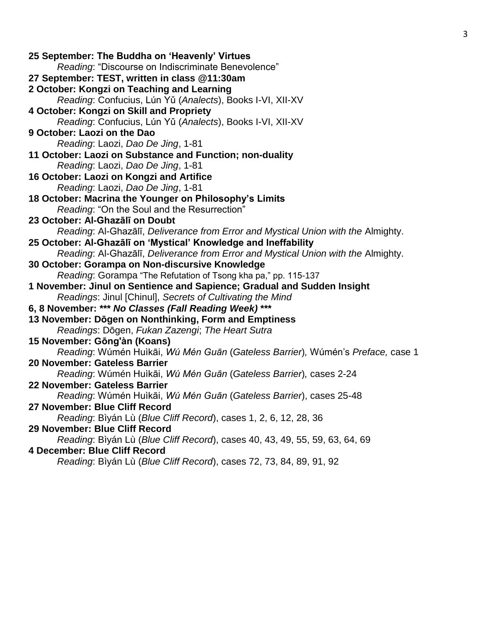| Reading: "Discourse on Indiscriminate Benevolence"                                |
|-----------------------------------------------------------------------------------|
|                                                                                   |
| 27 September: TEST, written in class @11:30am                                     |
| 2 October: Kongzi on Teaching and Learning                                        |
| Reading: Confucius, Lún Yǔ (Analects), Books I-VI, XII-XV                         |
| 4 October: Kongzi on Skill and Propriety                                          |
| Reading: Confucius, Lún Yǔ (Analects), Books I-VI, XII-XV                         |
| 9 October: Laozi on the Dao                                                       |
| Reading: Laozi, Dao De Jing, 1-81                                                 |
| 11 October: Laozi on Substance and Function; non-duality                          |
| Reading: Laozi, Dao De Jing, 1-81                                                 |
| 16 October: Laozi on Kongzi and Artifice                                          |
| Reading: Laozi, Dao De Jing, 1-81                                                 |
| 18 October: Macrina the Younger on Philosophy's Limits                            |
| Reading: "On the Soul and the Resurrection"                                       |
| 23 October: Al-Ghazālī on Doubt                                                   |
| Reading: Al-Ghazālī, Deliverance from Error and Mystical Union with the Almighty. |
| 25 October: Al-Ghazālī on 'Mystical' Knowledge and Ineffability                   |
| Reading: Al-Ghazālī, Deliverance from Error and Mystical Union with the Almighty. |
| 30 October: Gorampa on Non-discursive Knowledge                                   |
| Reading: Gorampa "The Refutation of Tsong kha pa," pp. 115-137                    |
| 1 November: Jinul on Sentience and Sapience; Gradual and Sudden Insight           |
| Readings: Jinul [Chinul], Secrets of Cultivating the Mind                         |
| 6, 8 November: *** No Classes (Fall Reading Week) ***                             |
| 13 November: Dōgen on Nonthinking, Form and Emptiness                             |
| Readings: Dōgen, Fukan Zazengi; The Heart Sutra                                   |
| 15 November: Gōng'àn (Koans)                                                      |
| Reading: Wúmén Huìkāi, Wú Mén Guān (Gateless Barrier), Wúmén's Preface, case 1    |
| 20 November: Gateless Barrier                                                     |
| Reading: Wúmén Huìkāi, Wú Mén Guān (Gateless Barrier), cases 2-24                 |
| 22 November: Gateless Barrier                                                     |
| Reading: Wúmén Huìkāi, Wú Mén Guān (Gateless Barrier), cases 25-48                |
| 27 November: Blue Cliff Record                                                    |
| Reading: Bìyán Lù (Blue Cliff Record), cases 1, 2, 6, 12, 28, 36                  |
| <b>29 November: Blue Cliff Record</b>                                             |
| Reading: Bìyán Lù (Blue Cliff Record), cases 40, 43, 49, 55, 59, 63, 64, 69       |
| 4 December: Blue Cliff Record                                                     |
| Reading: Bìyán Lù (Blue Cliff Record), cases 72, 73, 84, 89, 91, 92               |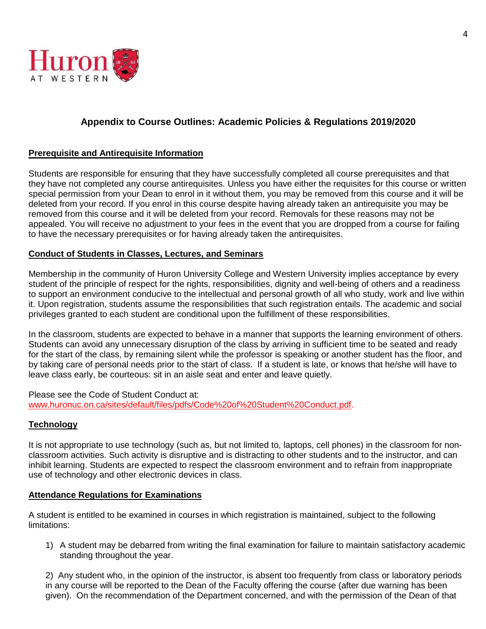

### **Appendix to Course Outlines: Academic Policies & Regulations 2019/2020**

#### **Prerequisite and Antirequisite Information**

Students are responsible for ensuring that they have successfully completed all course prerequisites and that they have not completed any course antirequisites. Unless you have either the requisites for this course or written special permission from your Dean to enrol in it without them, you may be removed from this course and it will be deleted from your record. If you enrol in this course despite having already taken an antirequisite you may be removed from this course and it will be deleted from your record. Removals for these reasons may not be appealed. You will receive no adjustment to your fees in the event that you are dropped from a course for failing to have the necessary prerequisites or for having already taken the antirequisites.

#### **Conduct of Students in Classes, Lectures, and Seminars**

Membership in the community of Huron University College and Western University implies acceptance by every student of the principle of respect for the rights, responsibilities, dignity and well-being of others and a readiness to support an environment conducive to the intellectual and personal growth of all who study, work and live within it. Upon registration, students assume the responsibilities that such registration entails. The academic and social privileges granted to each student are conditional upon the fulfillment of these responsibilities.

In the classroom, students are expected to behave in a manner that supports the learning environment of others. Students can avoid any unnecessary disruption of the class by arriving in sufficient time to be seated and ready for the start of the class, by remaining silent while the professor is speaking or another student has the floor, and by taking care of personal needs prior to the start of class. If a student is late, or knows that he/she will have to leave class early, be courteous: sit in an aisle seat and enter and leave quietly.

Please see the Code of Student Conduct at: [www.huronuc.on.ca/sites/default/files/pdfs/Code%20of%20Student%20Conduct.pdf.](http://www.huronuc.on.ca/sites/default/files/pdfs/Code%20of%20Student%20Conduct.pdf)

#### **Technology**

It is not appropriate to use technology (such as, but not limited to, laptops, cell phones) in the classroom for nonclassroom activities. Such activity is disruptive and is distracting to other students and to the instructor, and can inhibit learning. Students are expected to respect the classroom environment and to refrain from inappropriate use of technology and other electronic devices in class.

#### **Attendance Regulations for Examinations**

A student is entitled to be examined in courses in which registration is maintained, subject to the following limitations:

1) A student may be debarred from writing the final examination for failure to maintain satisfactory academic standing throughout the year.

2) Any student who, in the opinion of the instructor, is absent too frequently from class or laboratory periods in any course will be reported to the Dean of the Faculty offering the course (after due warning has been given). On the recommendation of the Department concerned, and with the permission of the Dean of that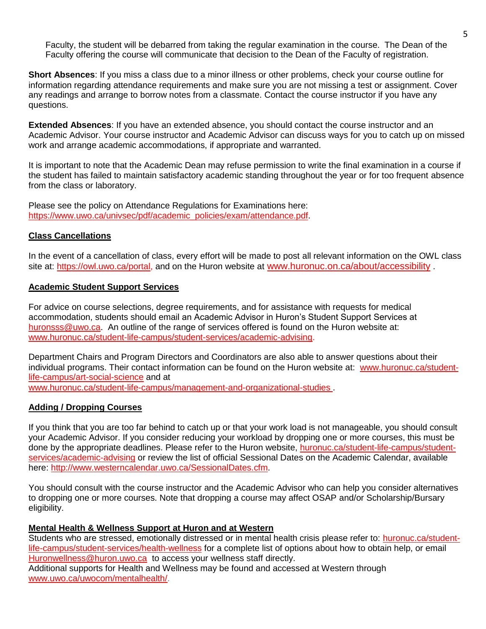Faculty, the student will be debarred from taking the regular examination in the course. The Dean of the Faculty offering the course will communicate that decision to the Dean of the Faculty of registration.

**Short Absences**: If you miss a class due to a minor illness or other problems, check your course outline for information regarding attendance requirements and make sure you are not missing a test or assignment. Cover any readings and arrange to borrow notes from a classmate. Contact the course instructor if you have any questions.

**Extended Absences**: If you have an extended absence, you should contact the course instructor and an Academic Advisor. Your course instructor and Academic Advisor can discuss ways for you to catch up on missed work and arrange academic accommodations, if appropriate and warranted.

It is important to note that the Academic Dean may refuse permission to write the final examination in a course if the student has failed to maintain satisfactory academic standing throughout the year or for too frequent absence from the class or laboratory.

Please see the policy on Attendance Regulations for Examinations here: [https://www.uwo.ca/univsec/pdf/academic\\_policies/exam/attendance.pdf.](https://www.uwo.ca/univsec/pdf/academic_policies/exam/attendance.pdf)

#### **Class Cancellations**

In the event of a cancellation of class, every effort will be made to post all relevant information on the OWL class site at: [https://owl.uwo.ca/portal,](https://owl.uwo.ca/portal) and on the Huron website at [www.huronuc.on.ca/about/accessibility](http://www.huronuc.on.ca/about/accessibility) .

#### **Academic Student Support Services**

For advice on course selections, degree requirements, and for assistance with requests for medical accommodation, students should email an Academic Advisor in Huron's Student Support Services at [huronsss@uwo.ca.](mailto:huronsss@uwo.ca) An outline of the range of services offered is found on the Huron website at: [www.huronuc.ca/student-life-campus/student-services/academic-advising.](http://www.huronuc.ca/student-life-campus/student-services/academic-advising)

Department Chairs and Program Directors and Coordinators are also able to answer questions about their individual programs. Their contact information can be found on the Huron website at: [www.huronuc.ca/student](http://www.huronuc.ca/student-life-campus/art-social-science)[life-campus/art-social-science](http://www.huronuc.ca/student-life-campus/art-social-science) and at

[www.huronuc.ca/student-life-campus/management-and-organizational-studies](http://www.huronuc.ca/student-life-campus/management-and-organizational-studies) .

#### **Adding / Dropping Courses**

If you think that you are too far behind to catch up or that your work load is not manageable, you should consult your Academic Advisor. If you consider reducing your workload by dropping one or more courses, this must be done by the appropriate deadlines. Please refer to the Huron website, [huronuc.ca/student-life-campus/student](https://huronuc.ca/student-life-campus/student-services/academic-advising)[services/academic-advising](https://huronuc.ca/student-life-campus/student-services/academic-advising) or review the list of official Sessional Dates on the Academic Calendar, available here: [http://www.westerncalendar.uwo.ca/SessionalDates.cfm.](http://www.westerncalendar.uwo.ca/SessionalDates.cfm)

You should consult with the course instructor and the Academic Advisor who can help you consider alternatives to dropping one or more courses. Note that dropping a course may affect OSAP and/or Scholarship/Bursary eligibility.

#### **Mental Health & Wellness Support at Huron and at Western**

Students who are stressed, emotionally distressed or in mental health crisis please refer to: [huronuc.ca/student](https://huronuc.ca/student-life-campus/student-services/health-wellness)[life-campus/student-services/health-wellness](https://huronuc.ca/student-life-campus/student-services/health-wellness) for a complete list of options about how to obtain help, or email [Huronwellness@huron.uwo.ca](mailto:Huronwellness@huron.uwo.ca) to access your wellness staff directly.

Additional supports for Health and Wellness may be found and accessed at Western through [www.uwo.ca/uwocom/mentalhealth/.](http://www.uwo.ca/uwocom/mentalhealth/)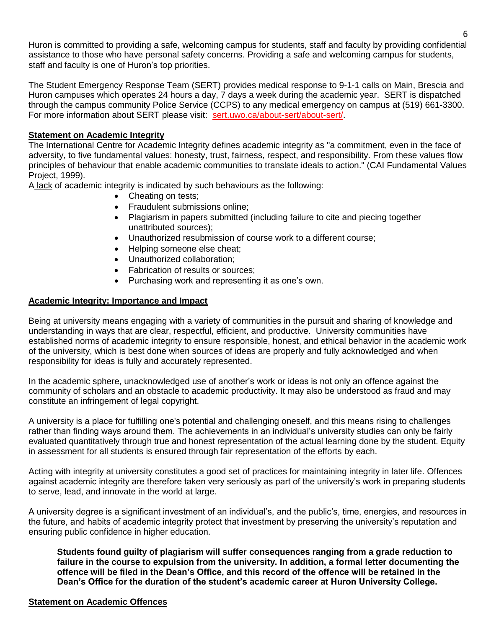Huron is committed to providing a safe, welcoming campus for students, staff and faculty by providing confidential assistance to those who have personal safety concerns. Providing a safe and welcoming campus for students, staff and faculty is one of Huron's top priorities.

The Student Emergency Response Team (SERT) provides medical response to 9-1-1 calls on Main, Brescia and Huron campuses which operates 24 hours a day, 7 days a week during the academic year. SERT is dispatched through the campus community Police Service (CCPS) to any medical emergency on campus at (519) 661-3300. For more information about SERT please visit: [sert.uwo.ca/about-sert/about-sert/.](https://sert.uwo.ca/about-sert/about-sert/)

#### **Statement on Academic Integrity**

The International Centre for Academic Integrity defines academic integrity as "a commitment, even in the face of adversity, to five fundamental values: honesty, trust, fairness, respect, and responsibility. From these values flow principles of behaviour that enable academic communities to translate ideals to action." (CAI Fundamental Values Project, 1999).

A lack of academic integrity is indicated by such behaviours as the following:

- Cheating on tests;
- Fraudulent submissions online:
- Plagiarism in papers submitted (including failure to cite and piecing together unattributed sources);
- Unauthorized resubmission of course work to a different course;
- Helping someone else cheat;
- Unauthorized collaboration;
- Fabrication of results or sources:
- Purchasing work and representing it as one's own.

#### **Academic Integrity: Importance and Impact**

Being at university means engaging with a variety of communities in the pursuit and sharing of knowledge and understanding in ways that are clear, respectful, efficient, and productive. University communities have established norms of academic integrity to ensure responsible, honest, and ethical behavior in the academic work of the university, which is best done when sources of ideas are properly and fully acknowledged and when responsibility for ideas is fully and accurately represented.

In the academic sphere, unacknowledged use of another's work or ideas is not only an offence against the community of scholars and an obstacle to academic productivity. It may also be understood as fraud and may constitute an infringement of legal copyright.

A university is a place for fulfilling one's potential and challenging oneself, and this means rising to challenges rather than finding ways around them. The achievements in an individual's university studies can only be fairly evaluated quantitatively through true and honest representation of the actual learning done by the student. Equity in assessment for all students is ensured through fair representation of the efforts by each.

Acting with integrity at university constitutes a good set of practices for maintaining integrity in later life. Offences against academic integrity are therefore taken very seriously as part of the university's work in preparing students to serve, lead, and innovate in the world at large.

A university degree is a significant investment of an individual's, and the public's, time, energies, and resources in the future, and habits of academic integrity protect that investment by preserving the university's reputation and ensuring public confidence in higher education.

**Students found guilty of plagiarism will suffer consequences ranging from a grade reduction to failure in the course to expulsion from the university. In addition, a formal letter documenting the offence will be filed in the Dean's Office, and this record of the offence will be retained in the Dean's Office for the duration of the student's academic career at Huron University College.**

#### **Statement on Academic Offences**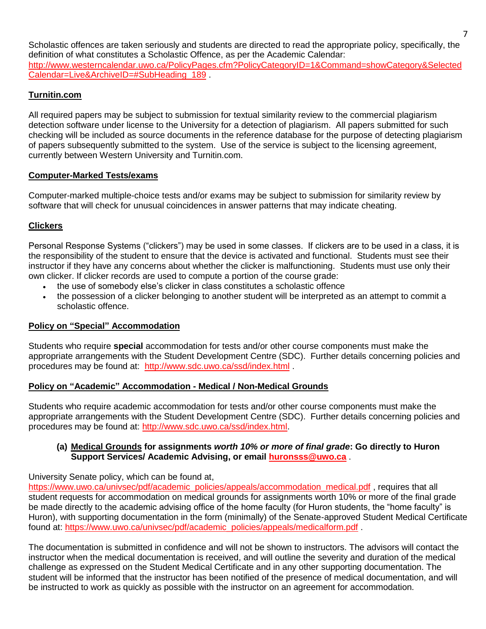Scholastic offences are taken seriously and students are directed to read the appropriate policy, specifically, the definition of what constitutes a Scholastic Offence, as per the Academic Calendar: [http://www.westerncalendar.uwo.ca/PolicyPages.cfm?PolicyCategoryID=1&Command=showCategory&Selected](http://www.westerncalendar.uwo.ca/PolicyPages.cfm?PolicyCategoryID=1&Command=showCategory&SelectedCalendar=Live&ArchiveID=#SubHeading_189) [Calendar=Live&ArchiveID=#SubHeading\\_189](http://www.westerncalendar.uwo.ca/PolicyPages.cfm?PolicyCategoryID=1&Command=showCategory&SelectedCalendar=Live&ArchiveID=#SubHeading_189) .

### **Turnitin.com**

All required papers may be subject to submission for textual similarity review to the commercial plagiarism detection software under license to the University for a detection of plagiarism. All papers submitted for such checking will be included as source documents in the reference database for the purpose of detecting plagiarism of papers subsequently submitted to the system. Use of the service is subject to the licensing agreement, currently between Western University and Turnitin.com.

#### **Computer-Marked Tests/exams**

Computer-marked multiple-choice tests and/or exams may be subject to submission for similarity review by software that will check for unusual coincidences in answer patterns that may indicate cheating.

### **Clickers**

Personal Response Systems ("clickers") may be used in some classes. If clickers are to be used in a class, it is the responsibility of the student to ensure that the device is activated and functional. Students must see their instructor if they have any concerns about whether the clicker is malfunctioning. Students must use only their own clicker. If clicker records are used to compute a portion of the course grade:

- the use of somebody else's clicker in class constitutes a scholastic offence
- the possession of a clicker belonging to another student will be interpreted as an attempt to commit a scholastic offence.

#### **Policy on "Special" Accommodation**

Students who require **special** accommodation for tests and/or other course components must make the appropriate arrangements with the Student Development Centre (SDC). Further details concerning policies and procedures may be found at: <http://www.sdc.uwo.ca/ssd/index.html> .

#### **Policy on "Academic" Accommodation - Medical / Non-Medical Grounds**

Students who require academic accommodation for tests and/or other course components must make the appropriate arrangements with the Student Development Centre (SDC). Further details concerning policies and procedures may be found at: [http://www.sdc.uwo.ca/ssd/index.html.](http://www.sdc.uwo.ca/ssd/index.html)

#### **(a) Medical Grounds for assignments** *worth 10% or more of final grade***: Go directly to Huron Support Services/ Academic Advising, or email [huronsss@uwo.ca](mailto:huronsss@uwo.ca)** .

University Senate policy, which can be found at,

[https://www.uwo.ca/univsec/pdf/academic\\_policies/appeals/accommodation\\_medical.pdf](https://www.uwo.ca/univsec/pdf/academic_policies/appeals/accommodation_medical.pdf) , requires that all student requests for accommodation on medical grounds for assignments worth 10% or more of the final grade be made directly to the academic advising office of the home faculty (for Huron students, the "home faculty" is Huron), with supporting documentation in the form (minimally) of the Senate-approved Student Medical Certificate found at: [https://www.uwo.ca/univsec/pdf/academic\\_policies/appeals/medicalform.pdf](https://www.uwo.ca/univsec/pdf/academic_policies/appeals/medicalform.pdf) .

The documentation is submitted in confidence and will not be shown to instructors. The advisors will contact the instructor when the medical documentation is received, and will outline the severity and duration of the medical challenge as expressed on the Student Medical Certificate and in any other supporting documentation. The student will be informed that the instructor has been notified of the presence of medical documentation, and will be instructed to work as quickly as possible with the instructor on an agreement for accommodation.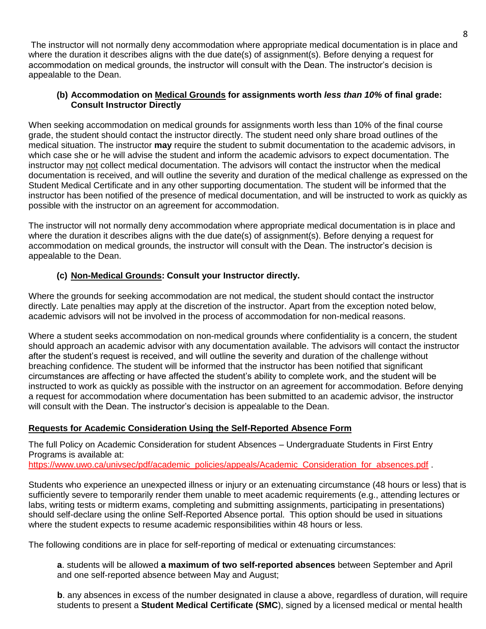The instructor will not normally deny accommodation where appropriate medical documentation is in place and where the duration it describes aligns with the due date(s) of assignment(s). Before denying a request for accommodation on medical grounds, the instructor will consult with the Dean. The instructor's decision is appealable to the Dean.

### **(b) Accommodation on Medical Grounds for assignments worth** *less than 10%* **of final grade: Consult Instructor Directly**

When seeking accommodation on medical grounds for assignments worth less than 10% of the final course grade, the student should contact the instructor directly. The student need only share broad outlines of the medical situation. The instructor **may** require the student to submit documentation to the academic advisors, in which case she or he will advise the student and inform the academic advisors to expect documentation. The instructor may not collect medical documentation. The advisors will contact the instructor when the medical documentation is received, and will outline the severity and duration of the medical challenge as expressed on the Student Medical Certificate and in any other supporting documentation. The student will be informed that the instructor has been notified of the presence of medical documentation, and will be instructed to work as quickly as possible with the instructor on an agreement for accommodation.

The instructor will not normally deny accommodation where appropriate medical documentation is in place and where the duration it describes aligns with the due date(s) of assignment(s). Before denying a request for accommodation on medical grounds, the instructor will consult with the Dean. The instructor's decision is appealable to the Dean.

### **(c) Non-Medical Grounds: Consult your Instructor directly.**

Where the grounds for seeking accommodation are not medical, the student should contact the instructor directly. Late penalties may apply at the discretion of the instructor. Apart from the exception noted below, academic advisors will not be involved in the process of accommodation for non-medical reasons.

Where a student seeks accommodation on non-medical grounds where confidentiality is a concern, the student should approach an academic advisor with any documentation available. The advisors will contact the instructor after the student's request is received, and will outline the severity and duration of the challenge without breaching confidence. The student will be informed that the instructor has been notified that significant circumstances are affecting or have affected the student's ability to complete work, and the student will be instructed to work as quickly as possible with the instructor on an agreement for accommodation. Before denying a request for accommodation where documentation has been submitted to an academic advisor, the instructor will consult with the Dean. The instructor's decision is appealable to the Dean.

### **Requests for Academic Consideration Using the Self-Reported Absence Form**

The full Policy on Academic Consideration for student Absences – Undergraduate Students in First Entry Programs is available at:

[https://www.uwo.ca/univsec/pdf/academic\\_policies/appeals/Academic\\_Consideration\\_for\\_absences.pdf](https://www.uwo.ca/univsec/pdf/academic_policies/appeals/Academic_Consideration_for_absences.pdf)

Students who experience an unexpected illness or injury or an extenuating circumstance (48 hours or less) that is sufficiently severe to temporarily render them unable to meet academic requirements (e.g., attending lectures or labs, writing tests or midterm exams, completing and submitting assignments, participating in presentations) should self-declare using the online Self-Reported Absence portal. This option should be used in situations where the student expects to resume academic responsibilities within 48 hours or less.

The following conditions are in place for self-reporting of medical or extenuating circumstances:

**a**. students will be allowed **a maximum of two self-reported absences** between September and April and one self-reported absence between May and August;

**b.** any absences in excess of the number designated in clause a above, regardless of duration, will require students to present a **Student Medical Certificate (SMC**), signed by a licensed medical or mental health